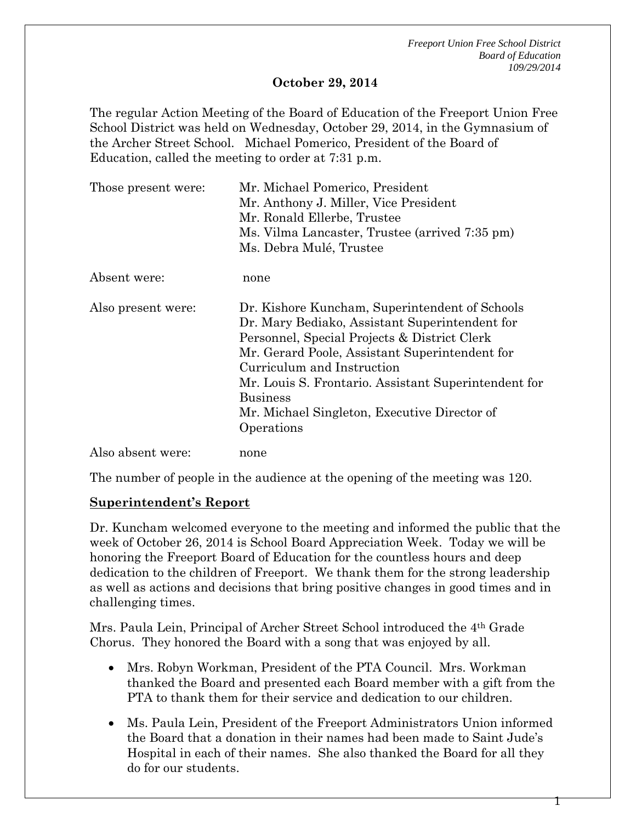#### **October 29, 2014**

The regular Action Meeting of the Board of Education of the Freeport Union Free School District was held on Wednesday, October 29, 2014, in the Gymnasium of the Archer Street School. Michael Pomerico, President of the Board of Education, called the meeting to order at 7:31 p.m.

| Those present were: | Mr. Michael Pomerico, President                                                                                                                                                                                                                                                                                                                                           |
|---------------------|---------------------------------------------------------------------------------------------------------------------------------------------------------------------------------------------------------------------------------------------------------------------------------------------------------------------------------------------------------------------------|
|                     | Mr. Anthony J. Miller, Vice President                                                                                                                                                                                                                                                                                                                                     |
|                     | Mr. Ronald Ellerbe, Trustee                                                                                                                                                                                                                                                                                                                                               |
|                     | Ms. Vilma Lancaster, Trustee (arrived 7:35 pm)                                                                                                                                                                                                                                                                                                                            |
|                     | Ms. Debra Mulé, Trustee                                                                                                                                                                                                                                                                                                                                                   |
| Absent were:        | none                                                                                                                                                                                                                                                                                                                                                                      |
| Also present were:  | Dr. Kishore Kuncham, Superintendent of Schools<br>Dr. Mary Bediako, Assistant Superintendent for<br>Personnel, Special Projects & District Clerk<br>Mr. Gerard Poole, Assistant Superintendent for<br>Curriculum and Instruction<br>Mr. Louis S. Frontario. Assistant Superintendent for<br><b>Business</b><br>Mr. Michael Singleton, Executive Director of<br>Operations |
| Also absent were:   | none                                                                                                                                                                                                                                                                                                                                                                      |

The number of people in the audience at the opening of the meeting was 120.

### **Superintendent's Report**

Dr. Kuncham welcomed everyone to the meeting and informed the public that the week of October 26, 2014 is School Board Appreciation Week. Today we will be honoring the Freeport Board of Education for the countless hours and deep dedication to the children of Freeport. We thank them for the strong leadership as well as actions and decisions that bring positive changes in good times and in challenging times.

Mrs. Paula Lein, Principal of Archer Street School introduced the 4th Grade Chorus. They honored the Board with a song that was enjoyed by all.

- Mrs. Robyn Workman, President of the PTA Council. Mrs. Workman thanked the Board and presented each Board member with a gift from the PTA to thank them for their service and dedication to our children.
- Ms. Paula Lein, President of the Freeport Administrators Union informed the Board that a donation in their names had been made to Saint Jude's Hospital in each of their names. She also thanked the Board for all they do for our students.

т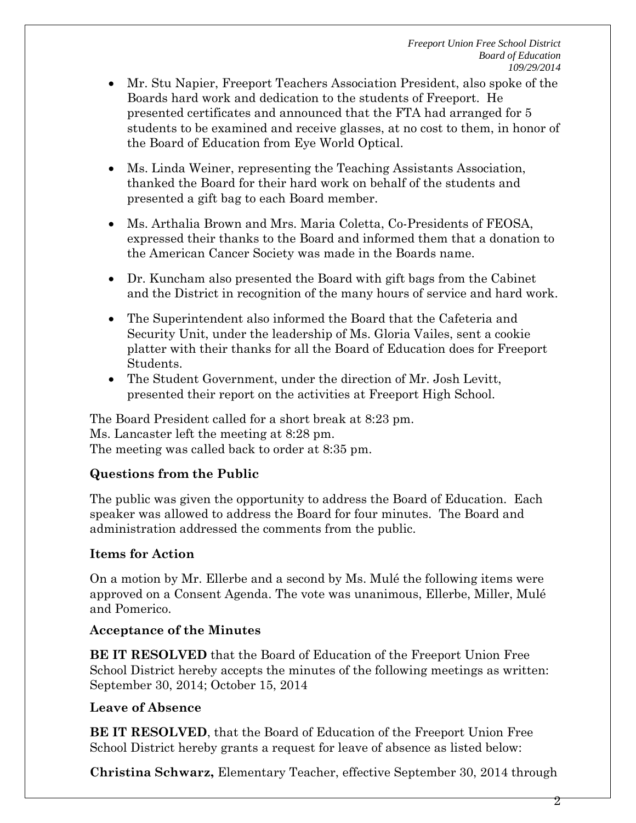- Mr. Stu Napier, Freeport Teachers Association President, also spoke of the Boards hard work and dedication to the students of Freeport. He presented certificates and announced that the FTA had arranged for 5 students to be examined and receive glasses, at no cost to them, in honor of the Board of Education from Eye World Optical.
- Ms. Linda Weiner, representing the Teaching Assistants Association, thanked the Board for their hard work on behalf of the students and presented a gift bag to each Board member.
- Ms. Arthalia Brown and Mrs. Maria Coletta, Co-Presidents of FEOSA, expressed their thanks to the Board and informed them that a donation to the American Cancer Society was made in the Boards name.
- Dr. Kuncham also presented the Board with gift bags from the Cabinet and the District in recognition of the many hours of service and hard work.
- The Superintendent also informed the Board that the Cafeteria and Security Unit, under the leadership of Ms. Gloria Vailes, sent a cookie platter with their thanks for all the Board of Education does for Freeport Students.
- The Student Government, under the direction of Mr. Josh Levitt, presented their report on the activities at Freeport High School.

The Board President called for a short break at 8:23 pm. Ms. Lancaster left the meeting at 8:28 pm. The meeting was called back to order at 8:35 pm.

## **Questions from the Public**

The public was given the opportunity to address the Board of Education. Each speaker was allowed to address the Board for four minutes. The Board and administration addressed the comments from the public.

## **Items for Action**

On a motion by Mr. Ellerbe and a second by Ms. Mulé the following items were approved on a Consent Agenda. The vote was unanimous, Ellerbe, Miller, Mulé and Pomerico.

## **Acceptance of the Minutes**

**BE IT RESOLVED** that the Board of Education of the Freeport Union Free School District hereby accepts the minutes of the following meetings as written: September 30, 2014; October 15, 2014

# **Leave of Absence**

**BE IT RESOLVED**, that the Board of Education of the Freeport Union Free School District hereby grants a request for leave of absence as listed below:

**Christina Schwarz,** Elementary Teacher, effective September 30, 2014 through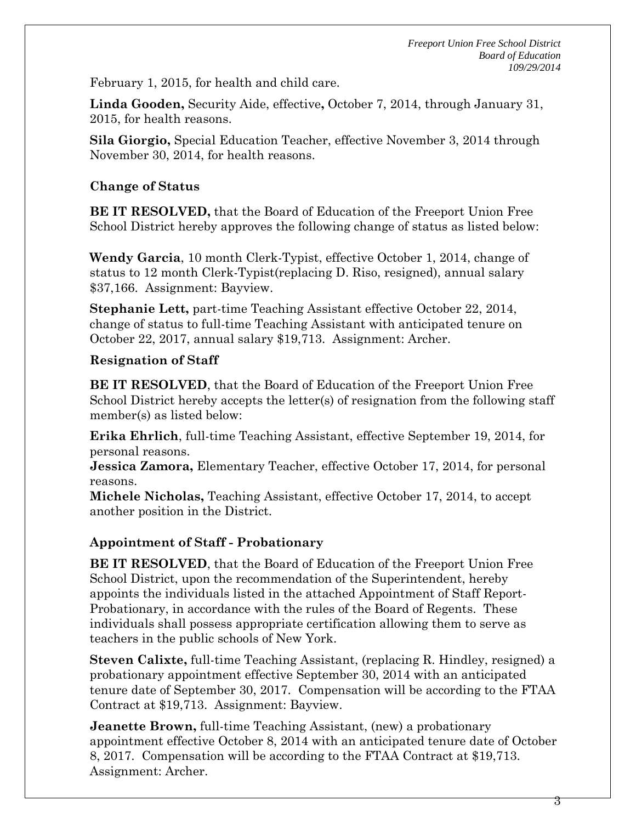February 1, 2015, for health and child care.

**Linda Gooden,** Security Aide, effective**,** October 7, 2014, through January 31, 2015, for health reasons.

**Sila Giorgio,** Special Education Teacher, effective November 3, 2014 through November 30, 2014, for health reasons.

## **Change of Status**

**BE IT RESOLVED,** that the Board of Education of the Freeport Union Free School District hereby approves the following change of status as listed below:

**Wendy Garcia**, 10 month Clerk-Typist, effective October 1, 2014, change of status to 12 month Clerk-Typist(replacing D. Riso, resigned), annual salary \$37,166. Assignment: Bayview.

**Stephanie Lett,** part-time Teaching Assistant effective October 22, 2014, change of status to full-time Teaching Assistant with anticipated tenure on October 22, 2017, annual salary \$19,713. Assignment: Archer.

## **Resignation of Staff**

**BE IT RESOLVED**, that the Board of Education of the Freeport Union Free School District hereby accepts the letter(s) of resignation from the following staff member(s) as listed below:

**Erika Ehrlich**, full-time Teaching Assistant, effective September 19, 2014, for personal reasons.

**Jessica Zamora,** Elementary Teacher, effective October 17, 2014, for personal reasons.

**Michele Nicholas,** Teaching Assistant, effective October 17, 2014, to accept another position in the District.

# **Appointment of Staff - Probationary**

**BE IT RESOLVED**, that the Board of Education of the Freeport Union Free School District, upon the recommendation of the Superintendent, hereby appoints the individuals listed in the attached Appointment of Staff Report-Probationary, in accordance with the rules of the Board of Regents. These individuals shall possess appropriate certification allowing them to serve as teachers in the public schools of New York.

**Steven Calixte,** full-time Teaching Assistant, (replacing R. Hindley, resigned) a probationary appointment effective September 30, 2014 with an anticipated tenure date of September 30, 2017. Compensation will be according to the FTAA Contract at \$19,713. Assignment: Bayview.

**Jeanette Brown,** full-time Teaching Assistant, (new) a probationary appointment effective October 8, 2014 with an anticipated tenure date of October 8, 2017. Compensation will be according to the FTAA Contract at \$19,713. Assignment: Archer.

3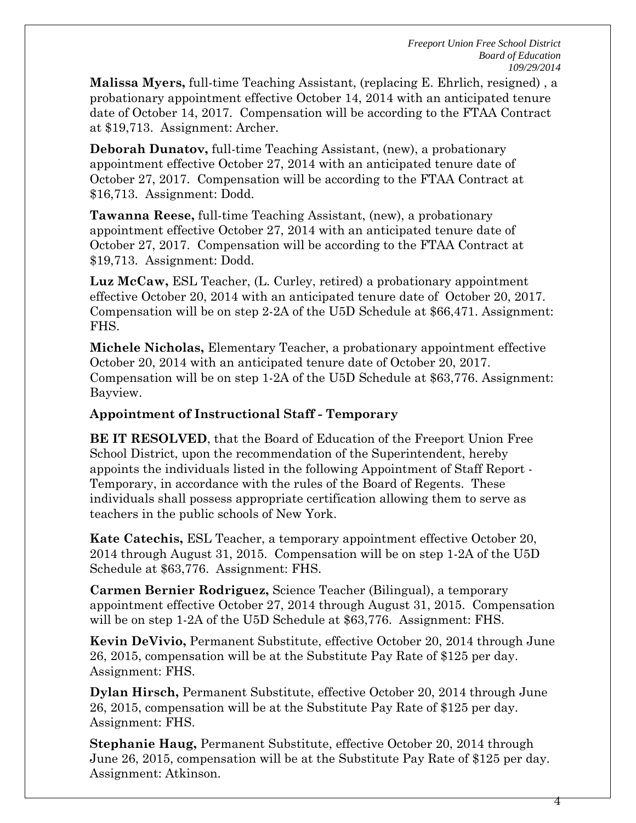**Malissa Myers,** full-time Teaching Assistant, (replacing E. Ehrlich, resigned) , a probationary appointment effective October 14, 2014 with an anticipated tenure date of October 14, 2017. Compensation will be according to the FTAA Contract at \$19,713. Assignment: Archer.

**Deborah Dunatov,** full-time Teaching Assistant, (new), a probationary appointment effective October 27, 2014 with an anticipated tenure date of October 27, 2017. Compensation will be according to the FTAA Contract at \$16,713. Assignment: Dodd.

**Tawanna Reese,** full-time Teaching Assistant, (new), a probationary appointment effective October 27, 2014 with an anticipated tenure date of October 27, 2017. Compensation will be according to the FTAA Contract at \$19,713. Assignment: Dodd.

**Luz McCaw,** ESL Teacher, (L. Curley, retired) a probationary appointment effective October 20, 2014 with an anticipated tenure date of October 20, 2017. Compensation will be on step 2-2A of the U5D Schedule at \$66,471. Assignment: FHS.

**Michele Nicholas,** Elementary Teacher, a probationary appointment effective October 20, 2014 with an anticipated tenure date of October 20, 2017. Compensation will be on step 1-2A of the U5D Schedule at \$63,776. Assignment: Bayview.

#### **Appointment of Instructional Staff - Temporary**

**BE IT RESOLVED**, that the Board of Education of the Freeport Union Free School District, upon the recommendation of the Superintendent, hereby appoints the individuals listed in the following Appointment of Staff Report - Temporary, in accordance with the rules of the Board of Regents. These individuals shall possess appropriate certification allowing them to serve as teachers in the public schools of New York.

**Kate Catechis,** ESL Teacher, a temporary appointment effective October 20, 2014 through August 31, 2015. Compensation will be on step 1-2A of the U5D Schedule at \$63,776. Assignment: FHS.

**Carmen Bernier Rodriguez,** Science Teacher (Bilingual), a temporary appointment effective October 27, 2014 through August 31, 2015. Compensation will be on step 1-2A of the U5D Schedule at \$63,776. Assignment: FHS.

**Kevin DeVivio,** Permanent Substitute, effective October 20, 2014 through June 26, 2015, compensation will be at the Substitute Pay Rate of \$125 per day. Assignment: FHS.

**Dylan Hirsch,** Permanent Substitute, effective October 20, 2014 through June 26, 2015, compensation will be at the Substitute Pay Rate of \$125 per day. Assignment: FHS.

**Stephanie Haug,** Permanent Substitute, effective October 20, 2014 through June 26, 2015, compensation will be at the Substitute Pay Rate of \$125 per day. Assignment: Atkinson.

4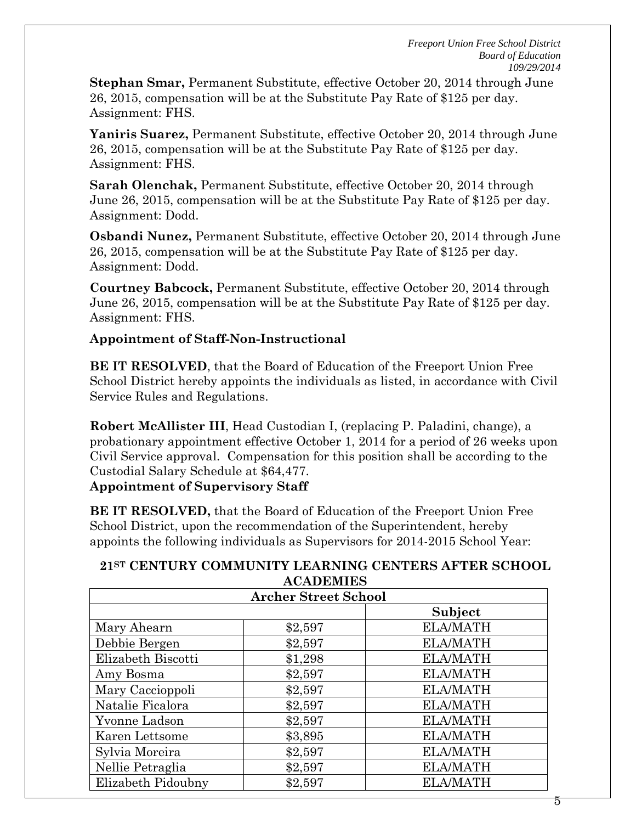**Stephan Smar,** Permanent Substitute, effective October 20, 2014 through June 26, 2015, compensation will be at the Substitute Pay Rate of \$125 per day. Assignment: FHS.

**Yaniris Suarez,** Permanent Substitute, effective October 20, 2014 through June 26, 2015, compensation will be at the Substitute Pay Rate of \$125 per day. Assignment: FHS.

**Sarah Olenchak,** Permanent Substitute, effective October 20, 2014 through June 26, 2015, compensation will be at the Substitute Pay Rate of \$125 per day. Assignment: Dodd.

**Osbandi Nunez,** Permanent Substitute, effective October 20, 2014 through June 26, 2015, compensation will be at the Substitute Pay Rate of \$125 per day. Assignment: Dodd.

**Courtney Babcock,** Permanent Substitute, effective October 20, 2014 through June 26, 2015, compensation will be at the Substitute Pay Rate of \$125 per day. Assignment: FHS.

### **Appointment of Staff-Non-Instructional**

**BE IT RESOLVED**, that the Board of Education of the Freeport Union Free School District hereby appoints the individuals as listed, in accordance with Civil Service Rules and Regulations.

**Robert McAllister III**, Head Custodian I, (replacing P. Paladini, change), a probationary appointment effective October 1, 2014 for a period of 26 weeks upon Civil Service approval. Compensation for this position shall be according to the Custodial Salary Schedule at \$64,477.

**Appointment of Supervisory Staff**

**BE IT RESOLVED,** that the Board of Education of the Freeport Union Free School District, upon the recommendation of the Superintendent, hereby appoints the following individuals as Supervisors for 2014-2015 School Year:

#### **21ST CENTURY COMMUNITY LEARNING CENTERS AFTER SCHOOL ACADEMIES**

| <b>Archer Street School</b> |         |                 |  |  |
|-----------------------------|---------|-----------------|--|--|
|                             |         | Subject         |  |  |
| Mary Ahearn                 | \$2,597 | <b>ELA/MATH</b> |  |  |
| Debbie Bergen               | \$2,597 | <b>ELA/MATH</b> |  |  |
| Elizabeth Biscotti          | \$1,298 | <b>ELA/MATH</b> |  |  |
| Amy Bosma                   | \$2,597 | <b>ELA/MATH</b> |  |  |
| Mary Caccioppoli            | \$2,597 | <b>ELA/MATH</b> |  |  |
| Natalie Ficalora            | \$2,597 | <b>ELA/MATH</b> |  |  |
| Yvonne Ladson               | \$2,597 | <b>ELA/MATH</b> |  |  |
| Karen Lettsome              | \$3,895 | <b>ELA/MATH</b> |  |  |
| Sylvia Moreira              | \$2,597 | <b>ELA/MATH</b> |  |  |
| Nellie Petraglia            | \$2,597 | <b>ELA/MATH</b> |  |  |
| Elizabeth Pidoubny          | \$2,597 | <b>ELA/MATH</b> |  |  |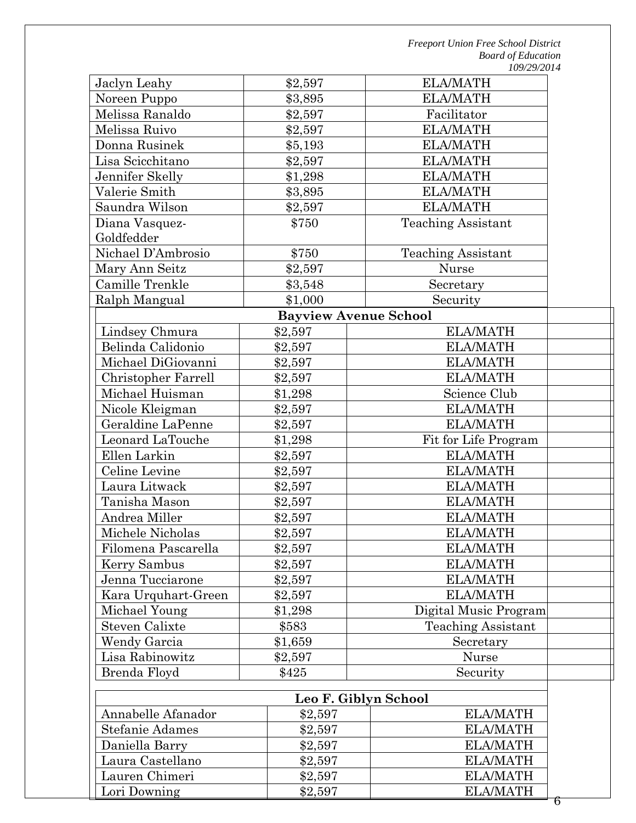| Jaclyn Leahy          | \$2,597                      | <b>ELA/MATH</b>                       |   |
|-----------------------|------------------------------|---------------------------------------|---|
| Noreen Puppo          | \$3,895                      | <b>ELA/MATH</b>                       |   |
| Melissa Ranaldo       | \$2,597                      | Facilitator                           |   |
| Melissa Ruivo         | \$2,597                      | <b>ELA/MATH</b>                       |   |
| Donna Rusinek         | \$5,193                      | <b>ELA/MATH</b>                       |   |
| Lisa Scicchitano      | \$2,597                      | <b>ELA/MATH</b>                       |   |
| Jennifer Skelly       | \$1,298                      | <b>ELA/MATH</b>                       |   |
| Valerie Smith         | \$3,895                      | <b>ELA/MATH</b>                       |   |
| Saundra Wilson        | \$2,597                      | <b>ELA/MATH</b>                       |   |
| Diana Vasquez-        | \$750                        | <b>Teaching Assistant</b>             |   |
| Goldfedder            |                              |                                       |   |
| Nichael D'Ambrosio    | \$750                        | <b>Teaching Assistant</b>             |   |
| Mary Ann Seitz        | \$2,597                      | <b>Nurse</b>                          |   |
| Camille Trenkle       | \$3,548                      | Secretary                             |   |
| Ralph Mangual         | \$1,000                      | Security                              |   |
|                       | <b>Bayview Avenue School</b> |                                       |   |
| Lindsey Chmura        | \$2,597                      | <b>ELA/MATH</b>                       |   |
| Belinda Calidonio     | \$2,597                      | <b>ELA/MATH</b>                       |   |
| Michael DiGiovanni    | \$2,597                      | <b>ELA/MATH</b>                       |   |
| Christopher Farrell   | \$2,597                      | <b>ELA/MATH</b>                       |   |
| Michael Huisman       | \$1,298                      | Science Club                          |   |
| Nicole Kleigman       | \$2,597                      | <b>ELA/MATH</b>                       |   |
| Geraldine LaPenne     | \$2,597                      | <b>ELA/MATH</b>                       |   |
| Leonard LaTouche      | \$1,298                      | Fit for Life Program                  |   |
| Ellen Larkin          | \$2,597                      | <b>ELA/MATH</b>                       |   |
| Celine Levine         | \$2,597                      | <b>ELA/MATH</b>                       |   |
| Laura Litwack         | \$2,597                      | <b>ELA/MATH</b>                       |   |
| Tanisha Mason         | \$2,597                      | <b>ELA/MATH</b>                       |   |
| Andrea Miller         | \$2,597                      | <b>ELA/MATH</b>                       |   |
| Michele Nicholas      | \$2,597                      | <b>ELA/MATH</b>                       |   |
| Filomena Pascarella   | \$2,597                      | <b>ELA/MATH</b>                       |   |
| Kerry Sambus          | \$2,597                      | <b>ELA/MATH</b>                       |   |
| Jenna Tucciarone      | \$2,597                      | <b>ELA/MATH</b>                       |   |
| Kara Urquhart-Green   | \$2,597                      | <b>ELA/MATH</b>                       |   |
| Michael Young         | \$1,298                      | Digital Music Program                 |   |
| <b>Steven Calixte</b> | \$583                        | <b>Teaching Assistant</b>             |   |
| <b>Wendy Garcia</b>   |                              | \$1,659<br>Secretary                  |   |
| Lisa Rabinowitz       | \$2,597                      | Nurse                                 |   |
| Brenda Floyd          | \$425                        | Security                              |   |
|                       |                              | Leo F. Giblyn School                  |   |
| Annabelle Afanador    |                              | <b>ELA/MATH</b>                       |   |
| Stefanie Adames       | \$2,597<br>\$2,597           | <b>ELA/MATH</b>                       |   |
| Daniella Barry        |                              | <b>ELA/MATH</b>                       |   |
| Laura Castellano      |                              | \$2,597<br><b>ELA/MATH</b><br>\$2,597 |   |
| Lauren Chimeri        |                              | <b>ELA/MATH</b><br>\$2,597            |   |
| Lori Downing          |                              | <b>ELA/MATH</b>                       |   |
|                       | \$2,597                      |                                       | 6 |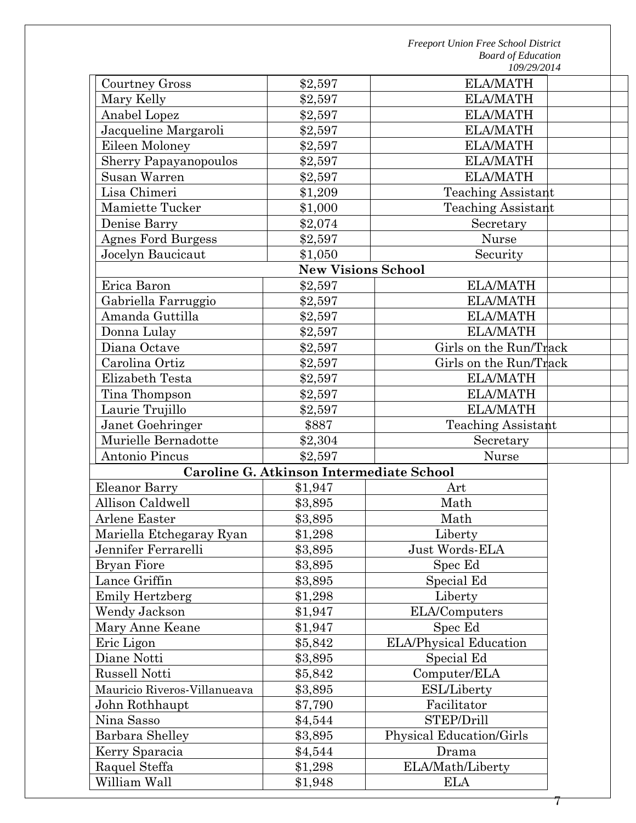7

| Courtney Gross               | \$2,597                                  | <b>ELA/MATH</b>           |  |
|------------------------------|------------------------------------------|---------------------------|--|
| Mary Kelly                   | \$2,597                                  | <b>ELA/MATH</b>           |  |
| Anabel Lopez                 | \$2,597                                  | <b>ELA/MATH</b>           |  |
| Jacqueline Margaroli         | \$2,597                                  | <b>ELA/MATH</b>           |  |
| Eileen Moloney               | \$2,597                                  | <b>ELA/MATH</b>           |  |
| <b>Sherry Papayanopoulos</b> | \$2,597                                  | <b>ELA/MATH</b>           |  |
| Susan Warren                 | \$2,597                                  | <b>ELA/MATH</b>           |  |
| Lisa Chimeri                 | \$1,209                                  | <b>Teaching Assistant</b> |  |
| <b>Mamiette Tucker</b>       | \$1,000                                  | <b>Teaching Assistant</b> |  |
| Denise Barry                 | \$2,074                                  | Secretary                 |  |
| <b>Agnes Ford Burgess</b>    | \$2,597                                  | <b>Nurse</b>              |  |
| Jocelyn Baucicaut            | \$1,050                                  | Security                  |  |
|                              | <b>New Visions School</b>                |                           |  |
| Erica Baron                  | \$2,597                                  | <b>ELA/MATH</b>           |  |
| Gabriella Farruggio          | \$2,597                                  | <b>ELA/MATH</b>           |  |
| Amanda Guttilla              | \$2,597                                  | <b>ELA/MATH</b>           |  |
| Donna Lulay                  | \$2,597                                  | <b>ELA/MATH</b>           |  |
| Diana Octave                 | \$2,597                                  | Girls on the Run/Track    |  |
| Carolina Ortiz               | \$2,597                                  | Girls on the Run/Track    |  |
| Elizabeth Testa              | \$2,597                                  | <b>ELA/MATH</b>           |  |
| Tina Thompson                | \$2,597                                  | <b>ELA/MATH</b>           |  |
| Laurie Trujillo              | \$2,597                                  | <b>ELA/MATH</b>           |  |
| Janet Goehringer             | \$887                                    | <b>Teaching Assistant</b> |  |
| Murielle Bernadotte          | \$2,304                                  | Secretary                 |  |
| Antonio Pincus               | \$2,597                                  | <b>Nurse</b>              |  |
|                              | Caroline G. Atkinson Intermediate School |                           |  |
| <b>Eleanor Barry</b>         | \$1,947                                  | Art                       |  |
| Allison Caldwell             | \$3,895                                  | Math                      |  |
| <b>Arlene Easter</b>         | \$3,895                                  | Math                      |  |
| Mariella Etchegaray Ryan     | \$1,298                                  | Liberty                   |  |
| Jennifer Ferrarelli          | \$3,895                                  | Just Words-ELA            |  |
| <b>Bryan Fiore</b>           | \$3,895                                  | Spec Ed                   |  |
| Lance Griffin                | \$3,895                                  | Special Ed                |  |
| <b>Emily Hertzberg</b>       | \$1,298                                  | Liberty                   |  |
| Wendy Jackson                | \$1,947                                  | ELA/Computers             |  |
| Mary Anne Keane              | \$1,947                                  | Spec Ed                   |  |
| Eric Ligon                   | \$5,842                                  | ELA/Physical Education    |  |
| Diane Notti                  | \$3,895                                  | Special Ed                |  |
| <b>Russell Notti</b>         | \$5,842                                  | Computer/ELA              |  |
| Mauricio Riveros-Villanueava | \$3,895                                  | <b>ESL/Liberty</b>        |  |
| John Rothhaupt               | \$7,790                                  | Facilitator               |  |
| Nina Sasso                   | \$4,544                                  | STEP/Drill                |  |
| Barbara Shelley              | \$3,895                                  | Physical Education/Girls  |  |
| Kerry Sparacia               | \$4,544                                  | Drama                     |  |
| Raquel Steffa                | \$1,298                                  | ELA/Math/Liberty          |  |
| William Wall                 | \$1,948                                  | <b>ELA</b>                |  |
|                              |                                          |                           |  |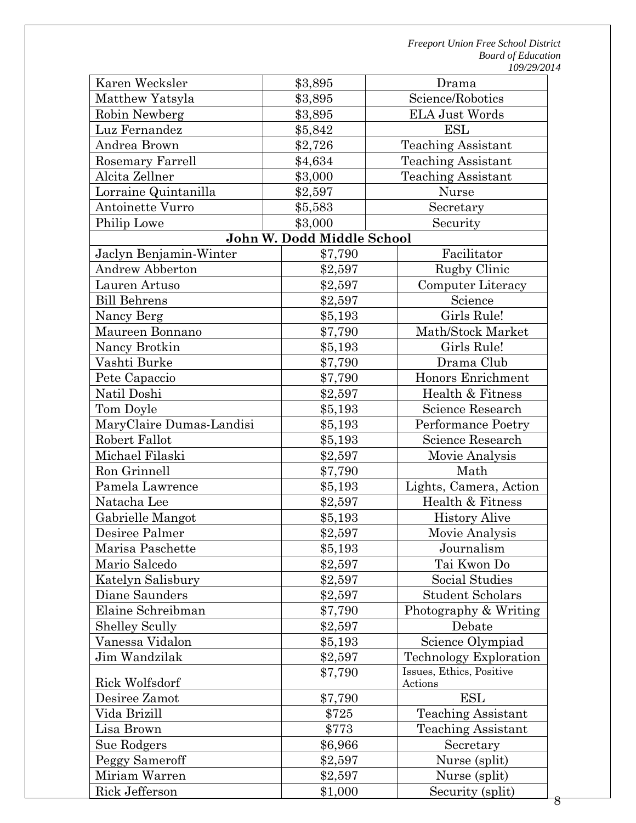| Karen Wecksler           | \$3,895                    | Drama                               |  |
|--------------------------|----------------------------|-------------------------------------|--|
| Matthew Yatsyla          | \$3,895                    | Science/Robotics                    |  |
| Robin Newberg            | \$3,895                    | <b>ELA Just Words</b>               |  |
| Luz Fernandez            | \$5,842                    | ESL                                 |  |
| Andrea Brown             | \$2,726                    | <b>Teaching Assistant</b>           |  |
| Rosemary Farrell         | \$4,634                    | <b>Teaching Assistant</b>           |  |
| Alcita Zellner           | \$3,000                    | <b>Teaching Assistant</b>           |  |
| Lorraine Quintanilla     | \$2,597                    | <b>Nurse</b>                        |  |
| Antoinette Vurro         | \$5,583                    | Secretary                           |  |
| Philip Lowe              | \$3,000                    | Security                            |  |
|                          | John W. Dodd Middle School |                                     |  |
| Jaclyn Benjamin-Winter   | \$7,790                    | Facilitator                         |  |
| <b>Andrew Abberton</b>   | \$2,597                    | Rugby Clinic                        |  |
| Lauren Artuso            | \$2,597                    | Computer Literacy                   |  |
| <b>Bill Behrens</b>      | \$2,597                    | Science                             |  |
| Nancy Berg               | \$5,193                    | Girls Rule!                         |  |
| Maureen Bonnano          | \$7,790                    | Math/Stock Market                   |  |
| Nancy Brotkin            | \$5,193                    | Girls Rule!                         |  |
| Vashti Burke             | \$7,790                    | Drama Club                          |  |
| Pete Capaccio            | \$7,790                    | Honors Enrichment                   |  |
| Natil Doshi              | \$2,597                    | Health & Fitness                    |  |
| Tom Doyle                | \$5,193                    | Science Research                    |  |
| MaryClaire Dumas-Landisi | \$5,193                    | Performance Poetry                  |  |
| Robert Fallot            | \$5,193                    | Science Research                    |  |
| Michael Filaski          | \$2,597                    | Movie Analysis                      |  |
| Ron Grinnell             | \$7,790                    | Math                                |  |
| Pamela Lawrence          | \$5,193                    | Lights, Camera, Action              |  |
| Natacha Lee              | \$2,597                    | Health & Fitness                    |  |
| Gabrielle Mangot         | \$5,193                    | <b>History Alive</b>                |  |
| Desiree Palmer           | \$2,597                    | Movie Analysis                      |  |
| Marisa Paschette         | \$5,193                    | Journalism                          |  |
| Mario Salcedo            | \$2,597                    | Tai Kwon Do                         |  |
| Katelyn Salisbury        | \$2,597                    | Social Studies                      |  |
| Diane Saunders           | \$2,597                    | <b>Student Scholars</b>             |  |
| Elaine Schreibman        | \$7,790                    | Photography & Writing               |  |
| <b>Shelley Scully</b>    | \$2,597                    | Debate                              |  |
| Vanessa Vidalon          | \$5,193                    | Science Olympiad                    |  |
| Jim Wandzilak            | \$2,597                    | Technology Exploration              |  |
| Rick Wolfsdorf           | \$7,790                    | Issues, Ethics, Positive<br>Actions |  |
| Desiree Zamot            | \$7,790                    | ESL                                 |  |
| Vida Brizill             | \$725                      | <b>Teaching Assistant</b>           |  |
| Lisa Brown               | \$773                      | <b>Teaching Assistant</b>           |  |
| Sue Rodgers              | \$6,966                    | Secretary                           |  |
| Peggy Sameroff           | \$2,597                    | Nurse (split)                       |  |
| Miriam Warren            | \$2,597                    | Nurse (split)                       |  |
| Rick Jefferson           | \$1,000                    | Security (split)                    |  |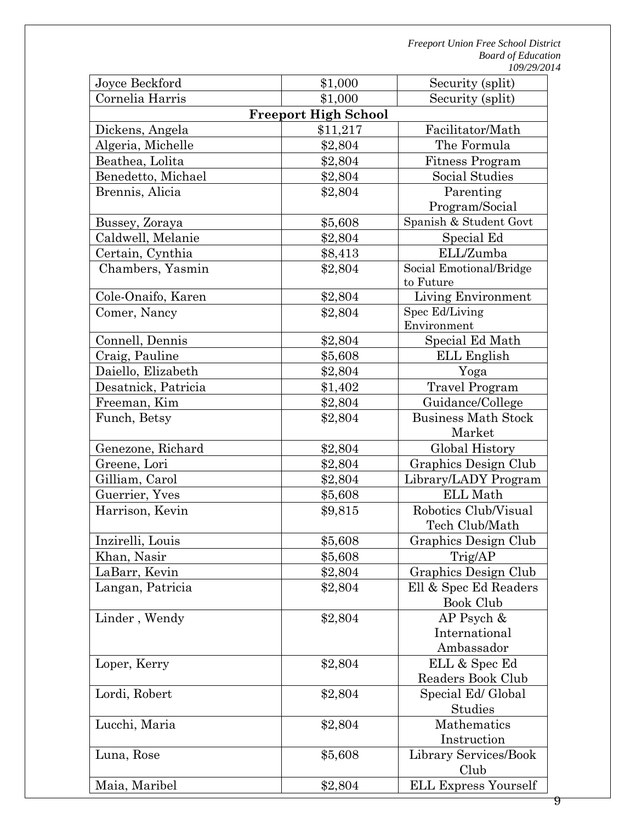| Joyce Beckford      | \$1,000                     | Security (split)            |
|---------------------|-----------------------------|-----------------------------|
| Cornelia Harris     | \$1,000                     | Security (split)            |
|                     | <b>Freeport High School</b> |                             |
| Dickens, Angela     | \$11,217                    | Facilitator/Math            |
| Algeria, Michelle   | \$2,804                     | The Formula                 |
| Beathea, Lolita     | \$2,804                     | <b>Fitness Program</b>      |
| Benedetto, Michael  | \$2,804                     | Social Studies              |
| Brennis, Alicia     | \$2,804                     | Parenting                   |
|                     |                             | Program/Social              |
| Bussey, Zoraya      | \$5,608                     | Spanish & Student Govt      |
| Caldwell, Melanie   | \$2,804                     | Special Ed                  |
| Certain, Cynthia    | \$8,413                     | ELL/Zumba                   |
| Chambers, Yasmin    | \$2,804                     | Social Emotional/Bridge     |
|                     |                             | to Future                   |
| Cole-Onaifo, Karen  | \$2,804                     | Living Environment          |
| Comer, Nancy        | \$2,804                     | Spec Ed/Living              |
|                     |                             | Environment                 |
| Connell, Dennis     | \$2,804                     | Special Ed Math             |
| Craig, Pauline      | \$5,608                     | ELL English                 |
| Daiello, Elizabeth  | \$2,804                     | Yoga                        |
| Desatnick, Patricia | \$1,402                     | <b>Travel Program</b>       |
| Freeman, Kim        | \$2,804                     | Guidance/College            |
| Funch, Betsy        | \$2,804                     | <b>Business Math Stock</b>  |
|                     |                             | Market                      |
| Genezone, Richard   | \$2,804                     | Global History              |
| Greene, Lori        | \$2,804                     | Graphics Design Club        |
| Gilliam, Carol      | \$2,804                     | Library/LADY Program        |
| Guerrier, Yves      | \$5,608                     | ELL Math                    |
| Harrison, Kevin     | \$9,815                     | Robotics Club/Visual        |
|                     |                             | Tech Club/Math              |
| Inzirelli, Louis    | \$5,608                     | Graphics Design Club        |
| Khan, Nasir         | \$5,608                     | Trig/AP                     |
| LaBarr, Kevin       | \$2,804                     | Graphics Design Club        |
| Langan, Patricia    | \$2,804                     | Ell & Spec Ed Readers       |
|                     |                             | <b>Book Club</b>            |
| Linder, Wendy       | \$2,804                     | $AP$ Psych &                |
|                     |                             | International               |
|                     |                             | Ambassador                  |
| Loper, Kerry        | \$2,804                     | ELL & Spec Ed               |
|                     |                             | Readers Book Club           |
| Lordi, Robert       | \$2,804                     | Special Ed/ Global          |
|                     |                             | Studies                     |
| Lucchi, Maria       | \$2,804                     | Mathematics                 |
|                     |                             | Instruction                 |
| Luna, Rose          | \$5,608                     | Library Services/Book       |
|                     |                             | Club                        |
| Maia, Maribel       | \$2,804                     | <b>ELL Express Yourself</b> |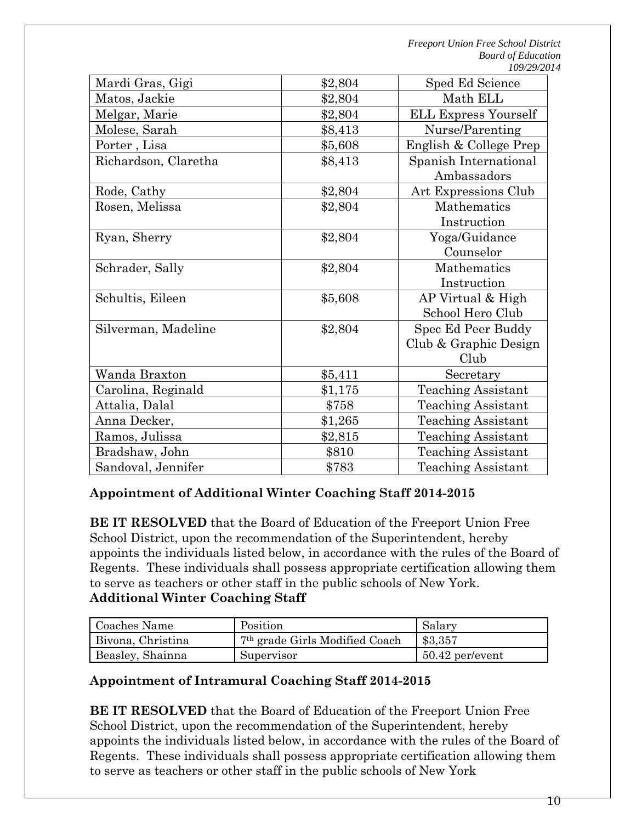| Mardi Gras, Gigi     | \$2,804 | Sped Ed Science             |
|----------------------|---------|-----------------------------|
| Matos, Jackie        | \$2,804 | Math ELL                    |
| Melgar, Marie        | \$2,804 | <b>ELL Express Yourself</b> |
| Molese, Sarah        | \$8,413 | Nurse/Parenting             |
| Porter, Lisa         | \$5,608 | English & College Prep      |
| Richardson, Claretha | \$8,413 | Spanish International       |
|                      |         | Ambassadors                 |
| Rode, Cathy          | \$2,804 | Art Expressions Club        |
| Rosen, Melissa       | \$2,804 | Mathematics                 |
|                      |         | Instruction                 |
| Ryan, Sherry         | \$2,804 | Yoga/Guidance               |
|                      |         | Counselor                   |
| Schrader, Sally      | \$2,804 | Mathematics                 |
|                      |         | Instruction                 |
| Schultis, Eileen     | \$5,608 | AP Virtual & High           |
|                      |         | School Hero Club            |
| Silverman, Madeline  | \$2,804 | Spec Ed Peer Buddy          |
|                      |         | Club & Graphic Design       |
|                      |         | Club                        |
| Wanda Braxton        | \$5,411 | Secretary                   |
| Carolina, Reginald   | \$1,175 | <b>Teaching Assistant</b>   |
| Attalia, Dalal       | \$758   | <b>Teaching Assistant</b>   |
| Anna Decker,         | \$1,265 | <b>Teaching Assistant</b>   |
| Ramos, Julissa       | \$2,815 | <b>Teaching Assistant</b>   |
| Bradshaw, John       | \$810   | <b>Teaching Assistant</b>   |
| Sandoval, Jennifer   | \$783   | <b>Teaching Assistant</b>   |

### **Appointment of Additional Winter Coaching Staff 2014-2015**

**BE IT RESOLVED** that the Board of Education of the Freeport Union Free School District, upon the recommendation of the Superintendent, hereby appoints the individuals listed below, in accordance with the rules of the Board of Regents. These individuals shall possess appropriate certification allowing them to serve as teachers or other staff in the public schools of New York. **Additional Winter Coaching Staff**

| Coaches Name      | Position                                   | Salary                  |
|-------------------|--------------------------------------------|-------------------------|
| Bivona, Christina | 7 <sup>th</sup> grade Girls Modified Coach | \$3,357                 |
| Beasley, Shainna  | Supervisor                                 | $\vert$ 50.42 per/event |

#### **Appointment of Intramural Coaching Staff 2014-2015**

**BE IT RESOLVED** that the Board of Education of the Freeport Union Free School District, upon the recommendation of the Superintendent, hereby appoints the individuals listed below, in accordance with the rules of the Board of Regents. These individuals shall possess appropriate certification allowing them to serve as teachers or other staff in the public schools of New York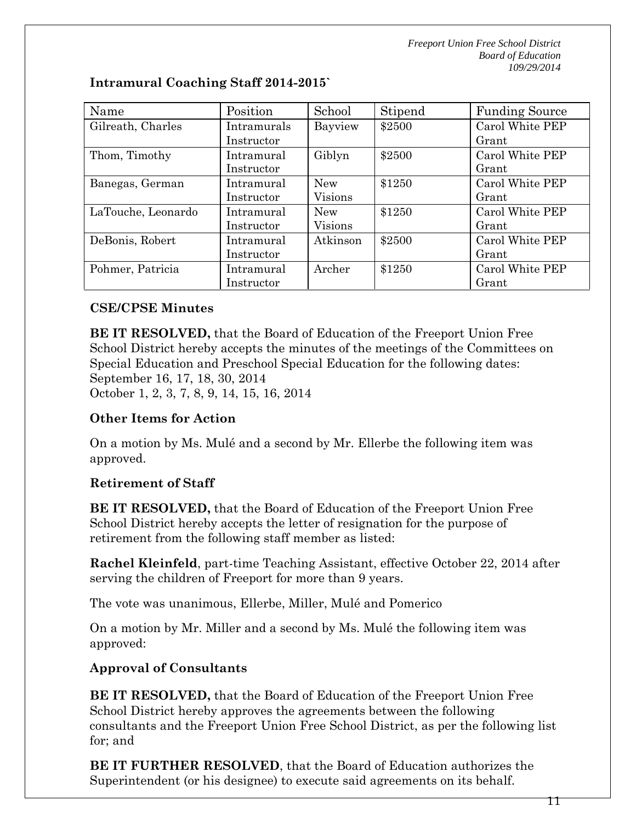| Name               | Position    | School     | Stipend | <b>Funding Source</b> |
|--------------------|-------------|------------|---------|-----------------------|
| Gilreath, Charles  | Intramurals | Bayview    | \$2500  | Carol White PEP       |
|                    | Instructor  |            |         | Grant                 |
| Thom, Timothy      | Intramural  | Giblyn     | \$2500  | Carol White PEP       |
|                    | Instructor  |            |         | Grant                 |
| Banegas, German    | Intramural  | <b>New</b> | \$1250  | Carol White PEP       |
|                    | Instructor  | Visions    |         | Grant                 |
| LaTouche, Leonardo | Intramural  | <b>New</b> | \$1250  | Carol White PEP       |
|                    | Instructor  | Visions    |         | Grant                 |
| DeBonis, Robert    | Intramural  | Atkinson   | \$2500  | Carol White PEP       |
|                    | Instructor  |            |         | Grant                 |
| Pohmer, Patricia   | Intramural  | Archer     | \$1250  | Carol White PEP       |
|                    | Instructor  |            |         | Grant                 |

**Intramural Coaching Staff 2014-2015`**

#### **CSE/CPSE Minutes**

**BE IT RESOLVED,** that the Board of Education of the Freeport Union Free School District hereby accepts the minutes of the meetings of the Committees on Special Education and Preschool Special Education for the following dates: September 16, 17, 18, 30, 2014 October 1, 2, 3, 7, 8, 9, 14, 15, 16, 2014

### **Other Items for Action**

On a motion by Ms. Mulé and a second by Mr. Ellerbe the following item was approved.

### **Retirement of Staff**

**BE IT RESOLVED,** that the Board of Education of the Freeport Union Free School District hereby accepts the letter of resignation for the purpose of retirement from the following staff member as listed:

**Rachel Kleinfeld**, part-time Teaching Assistant, effective October 22, 2014 after serving the children of Freeport for more than 9 years.

The vote was unanimous, Ellerbe, Miller, Mulé and Pomerico

On a motion by Mr. Miller and a second by Ms. Mulé the following item was approved:

## **Approval of Consultants**

**BE IT RESOLVED,** that the Board of Education of the Freeport Union Free School District hereby approves the agreements between the following consultants and the Freeport Union Free School District, as per the following list for; and

**BE IT FURTHER RESOLVED**, that the Board of Education authorizes the Superintendent (or his designee) to execute said agreements on its behalf.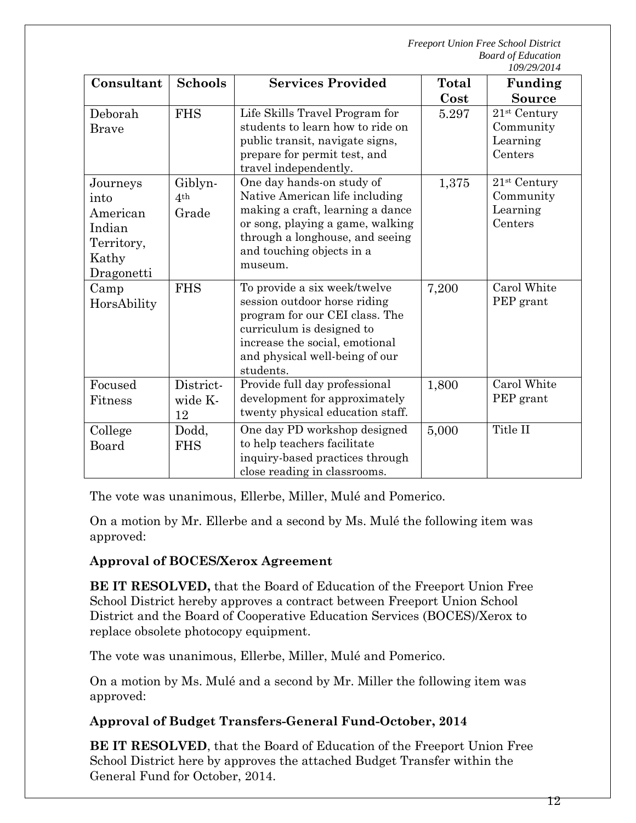|                                                                             |                                     |                                                                                                                                                                                                                |                      | 109/29/2014                                                    |
|-----------------------------------------------------------------------------|-------------------------------------|----------------------------------------------------------------------------------------------------------------------------------------------------------------------------------------------------------------|----------------------|----------------------------------------------------------------|
| Consultant                                                                  | <b>Schools</b>                      | <b>Services Provided</b>                                                                                                                                                                                       | <b>Total</b><br>Cost | Funding<br><b>Source</b>                                       |
| Deborah<br><b>Brave</b>                                                     | <b>FHS</b>                          | Life Skills Travel Program for<br>students to learn how to ride on<br>public transit, navigate signs,<br>prepare for permit test, and<br>travel independently.                                                 | 5.297                | $21st$ Century<br>Community<br>Learning<br>Centers             |
| Journeys<br>into<br>American<br>Indian<br>Territory,<br>Kathy<br>Dragonetti | Giblyn-<br>4 <sup>th</sup><br>Grade | One day hands-on study of<br>Native American life including<br>making a craft, learning a dance<br>or song, playing a game, walking<br>through a longhouse, and seeing<br>and touching objects in a<br>museum. | 1,375                | $21$ <sup>st</sup> Century<br>Community<br>Learning<br>Centers |
| Camp<br>HorsAbility                                                         | <b>FHS</b>                          | To provide a six week/twelve<br>session outdoor horse riding<br>program for our CEI class. The<br>curriculum is designed to<br>increase the social, emotional<br>and physical well-being of our<br>students.   | 7,200                | Carol White<br>PEP grant                                       |
| Focused<br>Fitness                                                          | District-<br>wide K-<br>12          | Provide full day professional<br>development for approximately<br>twenty physical education staff.                                                                                                             | 1,800                | Carol White<br>PEP grant                                       |
| College<br>Board                                                            | Dodd,<br><b>FHS</b>                 | One day PD workshop designed<br>to help teachers facilitate<br>inquiry-based practices through<br>close reading in classrooms.                                                                                 | 5,000                | Title II                                                       |

The vote was unanimous, Ellerbe, Miller, Mulé and Pomerico.

On a motion by Mr. Ellerbe and a second by Ms. Mulé the following item was approved:

### **Approval of BOCES/Xerox Agreement**

**BE IT RESOLVED,** that the Board of Education of the Freeport Union Free School District hereby approves a contract between Freeport Union School District and the Board of Cooperative Education Services (BOCES)/Xerox to replace obsolete photocopy equipment.

The vote was unanimous, Ellerbe, Miller, Mulé and Pomerico.

On a motion by Ms. Mulé and a second by Mr. Miller the following item was approved:

## **Approval of Budget Transfers-General Fund-October, 2014**

**BE IT RESOLVED**, that the Board of Education of the Freeport Union Free School District here by approves the attached Budget Transfer within the General Fund for October, 2014.